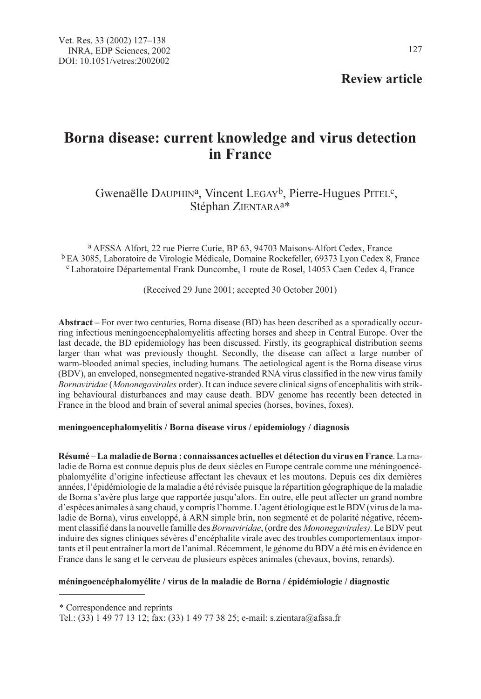# Review article

# Borna disease: current knowledge and virus detection in France

# Gwenaëlle DAUPHIN<sup>a</sup>, Vincent LEGAY<sup>b</sup>, Pierre-Hugues PITEL<sup>c</sup>, Stéphan ZIENTARA<sup>a\*</sup>

<sup>a</sup> AFSSA Alfort, 22 rue Pierre Curie, BP 63, 94703 Maisons-Alfort Cedex, France <sup>b</sup> EA 3085, Laboratoire de Virologie Médicale, Domaine Rockefeller, 69373 Lyon Cedex 8, France <sup>c</sup> Laboratoire Départemental Frank Duncombe, 1 route de Rosel, 14053 Caen Cedex 4, France

(Received 29 June 2001; accepted 30 October 2001)

Abstract – For over two centuries, Borna disease (BD) has been described as a sporadically occurring infectious meningoencephalomyelitis affecting horses and sheep in Central Europe. Over the last decade, the BD epidemiology has been discussed. Firstly, its geographical distribution seems larger than what was previously thought. Secondly, the disease can affect a large number of warm-blooded animal species, including humans. The aetiological agent is the Borna disease virus (BDV), an enveloped, nonsegmented negative-stranded RNA virus classified in the new virus family Bornaviridae (Mononegavirales order). It can induce severe clinical signs of encephalitis with striking behavioural disturbances and may cause death. BDV genome has recently been detected in France in the blood and brain of several animal species (horses, bovines, foxes).

# meningoencephalomyelitis / Borna disease virus / epidemiology / diagnosis

Résumé – La maladie de Borna : connaissances actuelles et détection du virus en France. La maladie de Borna est connue depuis plus de deux siècles en Europe centrale comme une méningoencéphalomyélite d'origine infectieuse affectant les chevaux et les moutons. Depuis ces dix dernières années, l'épidémiologie de la maladie a été révisée puisque la répartition géographique de la maladie de Borna s'avère plus large que rapportée jusqu'alors. En outre, elle peut affecter un grand nombre d'espèces animales à sang chaud, y compris l'homme. L'agent étiologique est le BDV (virus de la maladie de Borna), virus enveloppé, à ARN simple brin, non segmenté et de polarité négative, récemment classifié dans la nouvelle famille des Bornaviridae, (ordre des Mononegavirales). Le BDV peut induire des signes cliniques sévères d'encéphalite virale avec des troubles comportementaux importants et il peut entraîner la mort de l'animal. Récemment, le génome du BDV a été mis en évidence en France dans le sang et le cerveau de plusieurs espèces animales (chevaux, bovins, renards).

# méningoencéphalomyélite / virus de la maladie de Borna / épidémiologie / diagnostic

\* Correspondence and reprints

Tel.: (33) 1 49 77 13 12; fax: (33) 1 49 77 38 25; e-mail: s.zientara@afssa.fr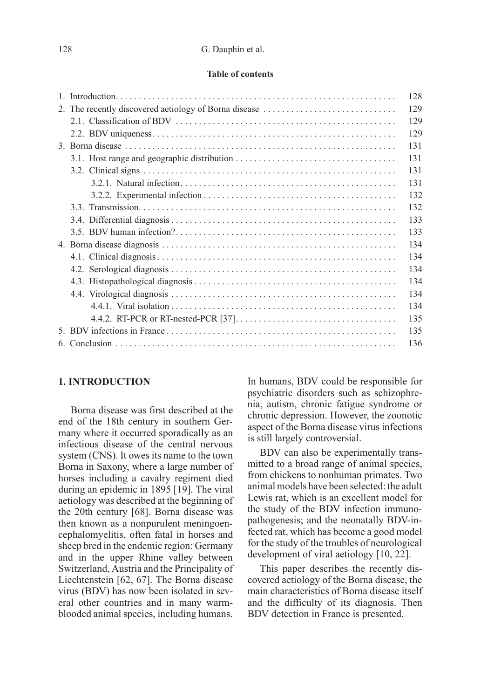#### 128 G. Dauphin et al.

#### Table of contents

|                                                       | 128 |
|-------------------------------------------------------|-----|
| 2. The recently discovered aetiology of Borna disease | 129 |
|                                                       | 129 |
|                                                       | 129 |
|                                                       | 131 |
|                                                       | 131 |
|                                                       | 131 |
|                                                       | 131 |
|                                                       | 132 |
|                                                       | 132 |
|                                                       | 133 |
|                                                       | 133 |
|                                                       | 134 |
|                                                       | 134 |
|                                                       | 134 |
|                                                       | 134 |
|                                                       | 134 |
|                                                       | 134 |
|                                                       | 135 |
|                                                       | 135 |
|                                                       | 136 |
|                                                       |     |

# 1. INTRODUCTION

Borna disease was first described at the end of the 18th century in southern Germany where it occurred sporadically as an infectious disease of the central nervous system (CNS). It owes its name to the town Borna in Saxony, where a large number of horses including a cavalry regiment died during an epidemic in 1895 [19]. The viral aetiology was described at the beginning of the 20th century [68]. Borna disease was then known as a nonpurulent meningoencephalomyelitis, often fatal in horses and sheep bred in the endemic region: Germany and in the upper Rhine valley between Switzerland, Austria and the Principality of Liechtenstein [62, 67]. The Borna disease virus (BDV) has now been isolated in several other countries and in many warmblooded animal species, including humans.

In humans, BDV could be responsible for psychiatric disorders such as schizophrenia, autism, chronic fatigue syndrome or chronic depression. However, the zoonotic aspect of the Borna disease virus infections is still largely controversial.

BDV can also be experimentally transmitted to a broad range of animal species, from chickens to nonhuman primates. Two animal models have been selected: the adult Lewis rat, which is an excellent model for the study of the BDV infection immunopathogenesis; and the neonatally BDV-infected rat, which has become a good model for the study of the troubles of neurological development of viral aetiology [10, 22].

This paper describes the recently discovered aetiology of the Borna disease, the main characteristics of Borna disease itself and the difficulty of its diagnosis. Then BDV detection in France is presented.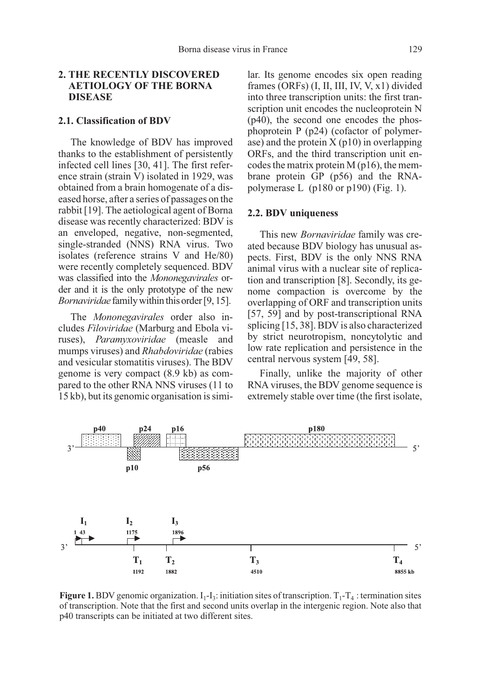# 2. THE RECENTLY DISCOVERED AETIOLOGY OF THE BORNA DISEASE

#### 2.1. Classification of BDV

The knowledge of BDV has improved thanks to the establishment of persistently infected cell lines [30, 41]. The first reference strain (strain V) isolated in 1929, was obtained from a brain homogenate of a diseased horse, after a series of passages on the rabbit [19]. The aetiological agent of Borna disease was recently characterized: BDV is an enveloped, negative, non-segmented, single-stranded (NNS) RNA virus. Two isolates (reference strains V and He/80) were recently completely sequenced. BDV was classified into the Mononegavirales order and it is the only prototype of the new Bornaviridae family within this order [9, 15].

The Mononegavirales order also includes Filoviridae (Marburg and Ebola viruses), Paramyxoviridae (measle and mumps viruses) and Rhabdoviridae (rabies and vesicular stomatitis viruses). The BDV genome is very compact (8.9 kb) as compared to the other RNA NNS viruses (11 to 15 kb), but its genomic organisation is similar. Its genome encodes six open reading frames (ORFs) (I, II, III, IV, V, x1) divided into three transcription units: the first transcription unit encodes the nucleoprotein N (p40), the second one encodes the phosphoprotein P (p24) (cofactor of polymerase) and the protein  $X$  (p10) in overlapping ORFs, and the third transcription unit encodes the matrix protein M (p16), the membrane protein GP (p56) and the RNApolymerase L (p180 or p190) (Fig. 1).

#### 2.2. BDV uniqueness

This new Bornaviridae family was created because BDV biology has unusual aspects. First, BDV is the only NNS RNA animal virus with a nuclear site of replication and transcription [8]. Secondly, its genome compaction is overcome by the overlapping of ORF and transcription units [57, 59] and by post-transcriptional RNA splicing [15, 38]. BDV is also characterized by strict neurotropism, noncytolytic and low rate replication and persistence in the central nervous system [49, 58].

Finally, unlike the majority of other RNA viruses, the BDV genome sequence is extremely stable over time (the first isolate,



**Figure 1.** BDV genomic organization.  $I_1-I_3$ : initiation sites of transcription.  $T_1-T_4$ : termination sites of transcription. Note that the first and second units overlap in the intergenic region. Note also that p40 transcripts can be initiated at two different sites.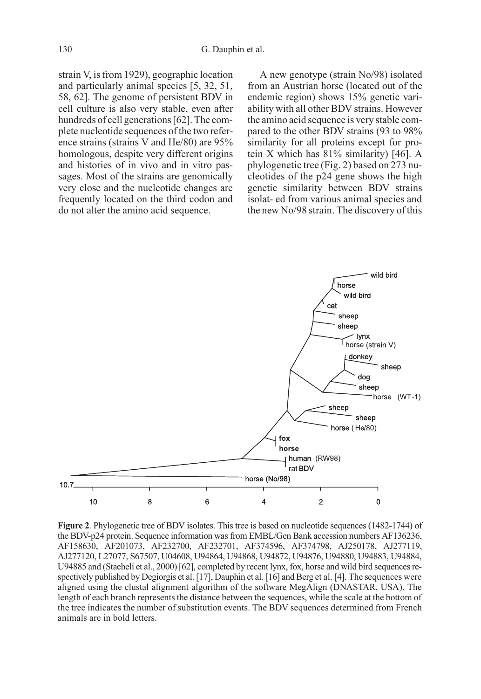strain V, is from 1929), geographic location and particularly animal species [5, 32, 51, 58, 62]. The genome of persistent BDV in cell culture is also very stable, even after hundreds of cell generations [62]. The complete nucleotide sequences of the two reference strains (strains V and He/80) are 95% homologous, despite very different origins and histories of in vivo and in vitro passages. Most of the strains are genomically very close and the nucleotide changes are frequently located on the third codon and do not alter the amino acid sequence.

A new genotype (strain No/98) isolated from an Austrian horse (located out of the endemic region) shows 15% genetic variability with all other BDV strains. However the amino acid sequence is very stable compared to the other BDV strains (93 to 98% similarity for all proteins except for protein X which has 81% similarity) [46]. A phylogenetic tree (Fig. 2) based on 273 nucleotides of the p24 gene shows the high genetic similarity between BDV strains isolat- ed from various animal species and the new No/98 strain. The discovery of this



Figure 2. Phylogenetic tree of BDV isolates. This tree is based on nucleotide sequences (1482-1744) of the BDV-p24 protein. Sequence information was from EMBL/Gen Bank accession numbers AF136236, AF158630, AF201073, AF232700, AF232701, AF374596, AF374798, AJ250178, AJ277119, AJ277120, L27077, S67507, U04608, U94864, U94868, U94872, U94876, U94880, U94883, U94884, U94885 and (Staeheli et al., 2000) [62], completed by recent lynx, fox, horse and wild bird sequences respectively published by Degiorgis et al. [17], Dauphin et al. [16] and Berg et al. [4]. The sequences were aligned using the clustal alignment algorithm of the software MegAlign (DNASTAR, USA). The length of each branch represents the distance between the sequences, while the scale at the bottom of the tree indicates the number of substitution events. The BDV sequences determined from French animals are in bold letters.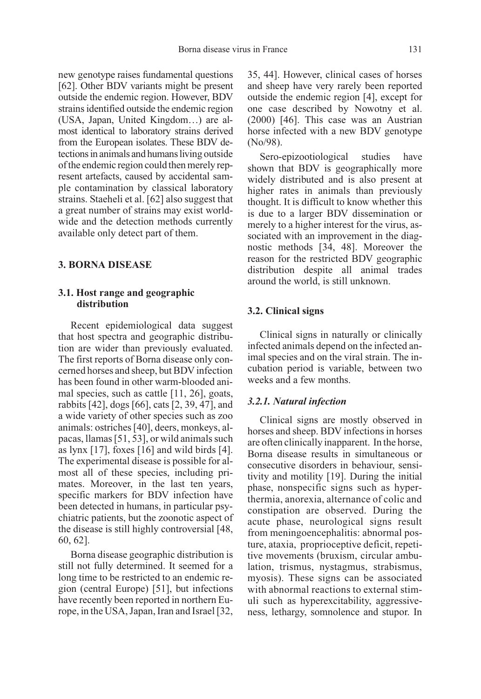new genotype raises fundamental questions [62]. Other BDV variants might be present outside the endemic region. However, BDV strains identified outside the endemic region (USA, Japan, United Kingdom…) are almost identical to laboratory strains derived from the European isolates. These BDV detections in animals and humans living outside of the endemic region could then merely represent artefacts, caused by accidental sample contamination by classical laboratory strains. Staeheli et al. [62] also suggest that a great number of strains may exist worldwide and the detection methods currently available only detect part of them.

# 3. BORNA DISEASE

# 3.1. Host range and geographic distribution

Recent epidemiological data suggest that host spectra and geographic distribution are wider than previously evaluated. The first reports of Borna disease only concerned horses and sheep, but BDV infection has been found in other warm-blooded animal species, such as cattle [11, 26], goats, rabbits [42], dogs [66], cats [2, 39, 47], and a wide variety of other species such as zoo animals: ostriches [40], deers, monkeys, alpacas, llamas [51, 53], or wild animals such as lynx  $[17]$ , foxes  $[16]$  and wild birds  $[4]$ . The experimental disease is possible for almost all of these species, including primates. Moreover, in the last ten years, specific markers for BDV infection have been detected in humans, in particular psychiatric patients, but the zoonotic aspect of the disease is still highly controversial [48, 60, 62].

Borna disease geographic distribution is still not fully determined. It seemed for a long time to be restricted to an endemic region (central Europe) [51], but infections have recently been reported in northern Europe, in the USA, Japan, Iran and Israel [32,

35, 44]. However, clinical cases of horses and sheep have very rarely been reported outside the endemic region [4], except for one case described by Nowotny et al. (2000) [46]. This case was an Austrian horse infected with a new BDV genotype (No/98).

Sero-epizootiological studies have shown that BDV is geographically more widely distributed and is also present at higher rates in animals than previously thought. It is difficult to know whether this is due to a larger BDV dissemination or merely to a higher interest for the virus, associated with an improvement in the diagnostic methods [34, 48]. Moreover the reason for the restricted BDV geographic distribution despite all animal trades around the world, is still unknown.

#### 3.2. Clinical signs

Clinical signs in naturally or clinically infected animals depend on the infected animal species and on the viral strain. The incubation period is variable, between two weeks and a few months.

#### 3.2.1. Natural infection

Clinical signs are mostly observed in horses and sheep. BDV infections in horses are often clinically inapparent. In the horse, Borna disease results in simultaneous or consecutive disorders in behaviour, sensitivity and motility [19]. During the initial phase, nonspecific signs such as hyperthermia, anorexia, alternance of colic and constipation are observed. During the acute phase, neurological signs result from meningoencephalitis: abnormal posture, ataxia, proprioceptive deficit, repetitive movements (bruxism, circular ambulation, trismus, nystagmus, strabismus, myosis). These signs can be associated with abnormal reactions to external stimuli such as hyperexcitability, aggressiveness, lethargy, somnolence and stupor. In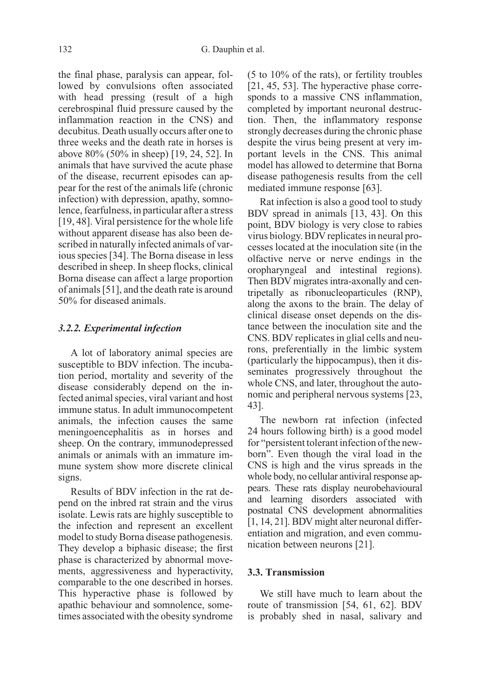the final phase, paralysis can appear, followed by convulsions often associated with head pressing (result of a high cerebrospinal fluid pressure caused by the inflammation reaction in the CNS) and decubitus. Death usually occurs after one to three weeks and the death rate in horses is above 80% (50% in sheep) [19, 24, 52]. In animals that have survived the acute phase of the disease, recurrent episodes can appear for the rest of the animals life (chronic infection) with depression, apathy, somnolence, fearfulness, in particular after a stress [19, 48]. Viral persistence for the whole life without apparent disease has also been described in naturally infected animals of various species [34]. The Borna disease in less described in sheep. In sheep flocks, clinical Borna disease can affect a large proportion of animals [51], and the death rate is around 50% for diseased animals.

#### 3.2.2. Experimental infection

A lot of laboratory animal species are susceptible to BDV infection. The incubation period, mortality and severity of the disease considerably depend on the infected animal species, viral variant and host immune status. In adult immunocompetent animals, the infection causes the same meningoencephalitis as in horses and sheep. On the contrary, immunodepressed animals or animals with an immature immune system show more discrete clinical signs.

Results of BDV infection in the rat depend on the inbred rat strain and the virus isolate. Lewis rats are highly susceptible to the infection and represent an excellent model to study Borna disease pathogenesis. They develop a biphasic disease; the first phase is characterized by abnormal movements, aggressiveness and hyperactivity, comparable to the one described in horses. This hyperactive phase is followed by apathic behaviour and somnolence, sometimes associated with the obesity syndrome

(5 to 10% of the rats), or fertility troubles [21, 45, 53]. The hyperactive phase corresponds to a massive CNS inflammation, completed by important neuronal destruction. Then, the inflammatory response strongly decreases during the chronic phase despite the virus being present at very important levels in the CNS. This animal model has allowed to determine that Borna disease pathogenesis results from the cell mediated immune response [63].

Rat infection is also a good tool to study BDV spread in animals [13, 43]. On this point, BDV biology is very close to rabies virus biology. BDV replicates in neural processes located at the inoculation site (in the olfactive nerve or nerve endings in the oropharyngeal and intestinal regions). Then BDV migrates intra-axonally and centripetally as ribonucleoparticules (RNP), along the axons to the brain. The delay of clinical disease onset depends on the distance between the inoculation site and the CNS. BDV replicates in glial cells and neurons, preferentially in the limbic system (particularly the hippocampus), then it disseminates progressively throughout the whole CNS, and later, throughout the autonomic and peripheral nervous systems [23, 43].

The newborn rat infection (infected 24 hours following birth) is a good model for "persistent tolerant infection of the newborn". Even though the viral load in the CNS is high and the virus spreads in the whole body, no cellular antiviral response appears. These rats display neurobehavioural and learning disorders associated with postnatal CNS development abnormalities [1, 14, 21]. BDV might alter neuronal differentiation and migration, and even communication between neurons [21].

# 3.3. Transmission

We still have much to learn about the route of transmission [54, 61, 62]. BDV is probably shed in nasal, salivary and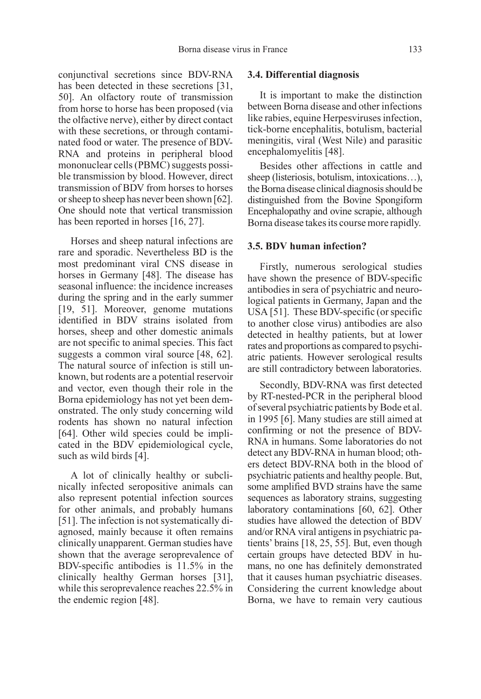conjunctival secretions since BDV-RNA has been detected in these secretions [31, 50]. An olfactory route of transmission from horse to horse has been proposed (via the olfactive nerve), either by direct contact with these secretions, or through contaminated food or water. The presence of BDV-RNA and proteins in peripheral blood mononuclear cells (PBMC) suggests possible transmission by blood. However, direct transmission of BDV from horses to horses or sheep to sheep has never been shown [62]. One should note that vertical transmission has been reported in horses [16, 27].

Horses and sheep natural infections are rare and sporadic. Nevertheless BD is the most predominant viral CNS disease in horses in Germany [48]. The disease has seasonal influence: the incidence increases during the spring and in the early summer [19, 51]. Moreover, genome mutations identified in BDV strains isolated from horses, sheep and other domestic animals are not specific to animal species. This fact suggests a common viral source [48, 62]. The natural source of infection is still unknown, but rodents are a potential reservoir and vector, even though their role in the Borna epidemiology has not yet been demonstrated. The only study concerning wild rodents has shown no natural infection [64]. Other wild species could be implicated in the BDV epidemiological cycle, such as wild birds [4].

A lot of clinically healthy or subclinically infected seropositive animals can also represent potential infection sources for other animals, and probably humans [51]. The infection is not systematically diagnosed, mainly because it often remains clinically unapparent. German studies have shown that the average seroprevalence of BDV-specific antibodies is 11.5% in the clinically healthy German horses [31], while this seroprevalence reaches 22.5% in the endemic region [48].

#### 3.4. Differential diagnosis

It is important to make the distinction between Borna disease and other infections like rabies, equine Herpesviruses infection, tick-borne encephalitis, botulism, bacterial meningitis, viral (West Nile) and parasitic encephalomyelitis [48].

Besides other affections in cattle and sheep (listeriosis, botulism, intoxications…), the Borna disease clinical diagnosis should be distinguished from the Bovine Spongiform Encephalopathy and ovine scrapie, although Borna disease takes its course more rapidly.

#### 3.5. BDV human infection?

Firstly, numerous serological studies have shown the presence of BDV-specific antibodies in sera of psychiatric and neurological patients in Germany, Japan and the USA [51]. These BDV-specific (or specific to another close virus) antibodies are also detected in healthy patients, but at lower rates and proportions as compared to psychiatric patients. However serological results are still contradictory between laboratories.

Secondly, BDV-RNA was first detected by RT-nested-PCR in the peripheral blood of several psychiatric patients by Bode et al. in 1995 [6]. Many studies are still aimed at confirming or not the presence of BDV-RNA in humans. Some laboratories do not detect any BDV-RNA in human blood; others detect BDV-RNA both in the blood of psychiatric patients and healthy people. But, some amplified BVD strains have the same sequences as laboratory strains, suggesting laboratory contaminations [60, 62]. Other studies have allowed the detection of BDV and/or RNA viral antigens in psychiatric patients' brains [18, 25, 55]. But, even though certain groups have detected BDV in humans, no one has definitely demonstrated that it causes human psychiatric diseases. Considering the current knowledge about Borna, we have to remain very cautious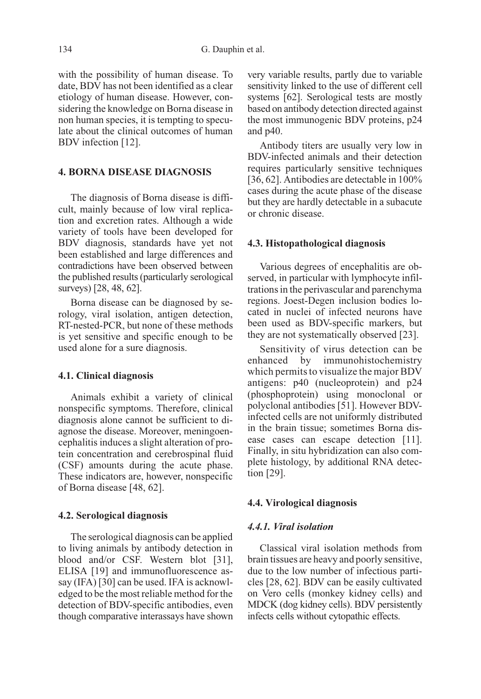with the possibility of human disease. To date, BDV has not been identified as a clear etiology of human disease. However, considering the knowledge on Borna disease in non human species, it is tempting to speculate about the clinical outcomes of human BDV infection [12].

# 4. BORNA DISEASE DIAGNOSIS

The diagnosis of Borna disease is difficult, mainly because of low viral replication and excretion rates. Although a wide variety of tools have been developed for BDV diagnosis, standards have yet not been established and large differences and contradictions have been observed between the published results (particularly serological surveys) [28, 48, 62].

Borna disease can be diagnosed by serology, viral isolation, antigen detection, RT-nested-PCR, but none of these methods is yet sensitive and specific enough to be used alone for a sure diagnosis.

# 4.1. Clinical diagnosis

Animals exhibit a variety of clinical nonspecific symptoms. Therefore, clinical diagnosis alone cannot be sufficient to diagnose the disease. Moreover, meningoencephalitis induces a slight alteration of protein concentration and cerebrospinal fluid (CSF) amounts during the acute phase. These indicators are, however, nonspecific of Borna disease [48, 62].

#### 4.2. Serological diagnosis

The serological diagnosis can be applied to living animals by antibody detection in blood and/or CSF. Western blot [31], ELISA [19] and immunofluorescence assay (IFA) [30] can be used. IFA is acknowledged to be the most reliable method for the detection of BDV-specific antibodies, even though comparative interassays have shown very variable results, partly due to variable sensitivity linked to the use of different cell systems [62]. Serological tests are mostly based on antibody detection directed against the most immunogenic BDV proteins, p24 and p40.

Antibody titers are usually very low in BDV-infected animals and their detection requires particularly sensitive techniques [36, 62]. Antibodies are detectable in 100% cases during the acute phase of the disease but they are hardly detectable in a subacute or chronic disease.

#### 4.3. Histopathological diagnosis

Various degrees of encephalitis are observed, in particular with lymphocyte infiltrations in the perivascular and parenchyma regions. Joest-Degen inclusion bodies located in nuclei of infected neurons have been used as BDV-specific markers, but they are not systematically observed [23].

Sensitivity of virus detection can be enhanced by immunohistochemistry which permits to visualize the major BDV antigens: p40 (nucleoprotein) and p24 (phosphoprotein) using monoclonal or polyclonal antibodies [51]. However BDVinfected cells are not uniformly distributed in the brain tissue; sometimes Borna disease cases can escape detection [11]. Finally, in situ hybridization can also complete histology, by additional RNA detection [29].

#### 4.4. Virological diagnosis

#### 4.4.1. Viral isolation

Classical viral isolation methods from brain tissues are heavy and poorly sensitive, due to the low number of infectious particles [28, 62]. BDV can be easily cultivated on Vero cells (monkey kidney cells) and MDCK (dog kidney cells). BDV persistently infects cells without cytopathic effects.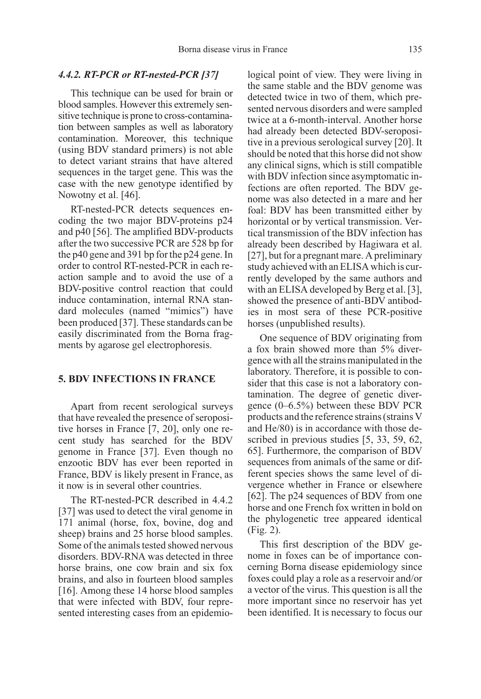#### 4.4.2. RT-PCR or RT-nested-PCR [37]

This technique can be used for brain or blood samples. However this extremely sensitive technique is prone to cross-contamination between samples as well as laboratory contamination. Moreover, this technique (using BDV standard primers) is not able to detect variant strains that have altered sequences in the target gene. This was the case with the new genotype identified by Nowotny et al. [46].

RT-nested-PCR detects sequences encoding the two major BDV-proteins p24 and p40 [56]. The amplified BDV-products after the two successive PCR are 528 bp for the p40 gene and 391 bp for the p24 gene. In order to control RT-nested-PCR in each reaction sample and to avoid the use of a BDV-positive control reaction that could induce contamination, internal RNA standard molecules (named "mimics") have been produced [37]. These standards can be easily discriminated from the Borna fragments by agarose gel electrophoresis.

# 5. BDV INFECTIONS IN FRANCE

Apart from recent serological surveys that have revealed the presence of seropositive horses in France [7, 20], only one recent study has searched for the BDV genome in France [37]. Even though no enzootic BDV has ever been reported in France, BDV is likely present in France, as it now is in several other countries.

The RT-nested-PCR described in 4.4.2 [37] was used to detect the viral genome in 171 animal (horse, fox, bovine, dog and sheep) brains and 25 horse blood samples. Some of the animals tested showed nervous disorders. BDV-RNA was detected in three horse brains, one cow brain and six fox brains, and also in fourteen blood samples [16]. Among these 14 horse blood samples that were infected with BDV, four represented interesting cases from an epidemiological point of view. They were living in the same stable and the BDV genome was detected twice in two of them, which presented nervous disorders and were sampled twice at a 6-month-interval. Another horse had already been detected BDV-seropositive in a previous serological survey [20]. It should be noted that this horse did not show any clinical signs, which is still compatible with BDV infection since asymptomatic infections are often reported. The BDV genome was also detected in a mare and her foal: BDV has been transmitted either by horizontal or by vertical transmission. Vertical transmission of the BDV infection has already been described by Hagiwara et al. [27], but for a pregnant mare. A preliminary study achieved with an ELISA which is currently developed by the same authors and with an ELISA developed by Berg et al. [3], showed the presence of anti-BDV antibodies in most sera of these PCR-positive horses (unpublished results).

One sequence of BDV originating from a fox brain showed more than 5% divergence with all the strains manipulated in the laboratory. Therefore, it is possible to consider that this case is not a laboratory contamination. The degree of genetic divergence (0–6.5%) between these BDV PCR products and the reference strains (strains V and He/80) is in accordance with those described in previous studies [5, 33, 59, 62, 65]. Furthermore, the comparison of BDV sequences from animals of the same or different species shows the same level of divergence whether in France or elsewhere [62]. The p24 sequences of BDV from one horse and one French fox written in bold on the phylogenetic tree appeared identical (Fig. 2).

This first description of the BDV genome in foxes can be of importance concerning Borna disease epidemiology since foxes could play a role as a reservoir and/or a vector of the virus. This question is all the more important since no reservoir has yet been identified. It is necessary to focus our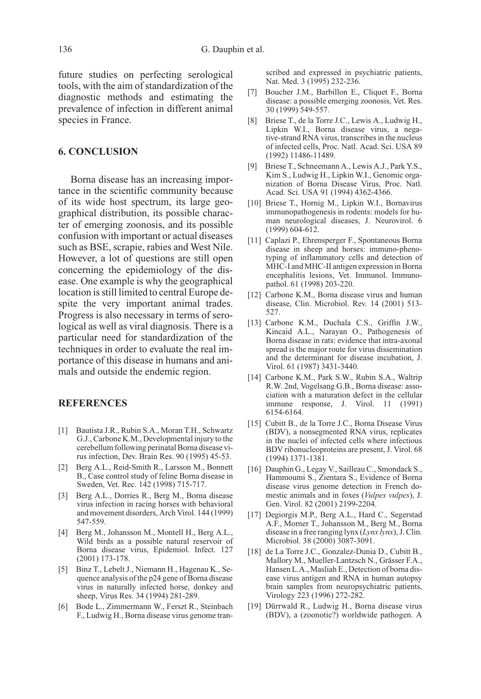future studies on perfecting serological tools, with the aim of standardization of the diagnostic methods and estimating the prevalence of infection in different animal species in France.

# 6. CONCLUSION

Borna disease has an increasing importance in the scientific community because of its wide host spectrum, its large geographical distribution, its possible character of emerging zoonosis, and its possible confusion with important or actual diseases such as BSE, scrapie, rabies and West Nile. However, a lot of questions are still open concerning the epidemiology of the disease. One example is why the geographical location is still limited to central Europe despite the very important animal trades. Progress is also necessary in terms of serological as well as viral diagnosis. There is a particular need for standardization of the techniques in order to evaluate the real importance of this disease in humans and animals and outside the endemic region.

## **REFERENCES**

- [1] Bautista J.R., Rubin S.A., Moran T.H., Schwartz G.J., Carbone K.M., Developmental injury to the cerebellum following perinatal Borna disease virus infection, Dev. Brain Res. 90 (1995) 45-53.
- [2] Berg A.L., Reid-Smith R., Larsson M., Bonnett B., Case control study of feline Borna disease in Sweden, Vet. Rec. 142 (1998) 715-717.
- [3] Berg A.L., Dorries R., Berg M., Borna disease virus infection in racing horses with behavioral and movement disorders, Arch Virol. 144 (1999) 547-559.
- [4] Berg M., Johansson M., Montell H., Berg A.L., Wild birds as a possible natural reservoir of Borna disease virus, Epidemiol. Infect. 127 (2001) 173-178.
- [5] Binz T., Lebelt J., Niemann H., Hagenau K., Sequence analysis of the p24 gene of Borna disease virus in naturally infected horse, donkey and sheep, Virus Res. 34 (1994) 281-289.
- [6] Bode L., Zimmermann W., Ferszt R., Steinbach F., Ludwig H., Borna disease virus genome tran-

scribed and expressed in psychiatric patients, Nat. Med. 3 (1995) 232-236.

- [7] Boucher J.M., Barbillon E., Cliquet F., Borna disease: a possible emerging zoonosis, Vet. Res. 30 (1999) 549-557.
- [8] Briese T., de la Torre J.C., Lewis A., Ludwig H., Lipkin W.I., Borna disease virus, a negative-strand RNA virus, transcribes in the nucleus of infected cells, Proc. Natl. Acad. Sci. USA 89 (1992) 11486-11489.
- [9] Briese T., Schneemann A., Lewis A.J., Park Y.S., Kim S., Ludwig H., Lipkin W.I., Genomic organization of Borna Disease Virus, Proc. Natl. Acad. Sci. USA 91 (1994) 4362-4366.
- [10] Briese T., Hornig M., Lipkin W.I., Bornavirus immunopathogenesis in rodents: models for human neurological diseases, J. Neurovirol. 6 (1999) 604-612.
- [11] Caplazi P., Ehrensperger F., Spontaneous Borna disease in sheep and horses: immuno-phenotyping of inflammatory cells and detection of MHC-I and MHC-II antigen expression in Borna encephalitis lesions, Vet. Immunol. Immunopathol. 61 (1998) 203-220.
- [12] Carbone K.M., Borna disease virus and human disease, Clin. Microbiol. Rev. 14 (2001) 513- 527.
- [13] Carbone K.M., Duchala C.S., Griffin J.W., Kincaid A.L., Narayan O., Pathogenesis of Borna disease in rats: evidence that intra-axonal spread is the major route for virus dissemination and the determinant for disease incubation, J. Virol. 61 (1987) 3431-3440.
- [14] Carbone K.M., Park S.W., Rubin S.A., Waltrip R.W. 2nd, Vogelsang G.B., Borna disease: association with a maturation defect in the cellular immune response, J. Virol. 11 (1991) 6154-6164.
- [15] Cubitt B., de la Torre J.C., Borna Disease Virus (BDV), a nonsegmented RNA virus, replicates in the nuclei of infected cells where infectious BDV ribonucleoproteins are present, J. Virol. 68 (1994) 1371-1381.
- [16] Dauphin G., Legay V., Sailleau C., Smondack S., Hammoumi S., Zientara S., Evidence of Borna disease virus genome detection in French domestic animals and in foxes (Vulpes vulpes), J. Gen. Virol. 82 (2001) 2199-2204.
- [17] Degiorgis M.P., Berg A.L., Hard C., Segerstad A.F., Morner T., Johansson M., Berg M., Borna disease in a free ranging lynx (Lynx lynx), J. Clin. Microbiol. 38 (2000) 3087-3091.
- [18] de La Torre J.C., Gonzalez-Dunia D., Cubitt B., Mallory M., Mueller-Lantzsch N., Grässer F.A., Hansen L.A., Masliah E., Detection of borna disease virus antigen and RNA in human autopsy brain samples from neuropsychiatric patients, Virology 223 (1996) 272-282.
- [19] Dürrwald R., Ludwig H., Borna disease virus (BDV), a (zoonotic?) worldwide pathogen. A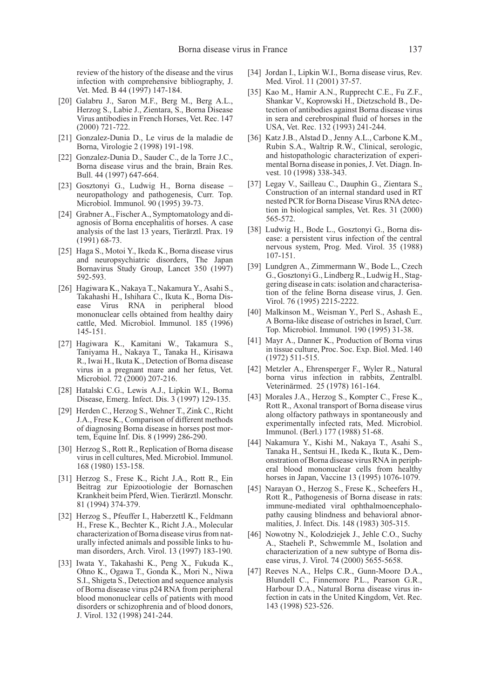review of the history of the disease and the virus infection with comprehensive bibliography, J. Vet. Med. B 44 (1997) 147-184.

- [20] Galabru J., Saron M.F., Berg M., Berg A.L., Herzog S., Labie J., Zientara, S., Borna Disease Virus antibodies in French Horses, Vet. Rec. 147 (2000) 721-722.
- [21] Gonzalez-Dunia D., Le virus de la maladie de Borna, Virologie 2 (1998) 191-198.
- [22] Gonzalez-Dunia D., Sauder C., de la Torre J.C., Borna disease virus and the brain, Brain Res. Bull. 44 (1997) 647-664.
- [23] Gosztonyi G., Ludwig H., Borna disease neuropathology and pathogenesis, Curr. Top. Microbiol. Immunol. 90 (1995) 39-73.
- [24] Grabner A., Fischer A., Symptomatology and diagnosis of Borna encephalitis of horses. A case analysis of the last 13 years, Tierärztl. Prax. 19 (1991) 68-73.
- [25] Haga S., Motoi Y., Ikeda K., Borna disease virus and neuropsychiatric disorders, The Japan Bornavirus Study Group, Lancet 350 (1997) 592-593.
- [26] Hagiwara K., Nakaya T., Nakamura Y., Asahi S., Takahashi H., Ishihara C., Ikuta K., Borna Disease Virus RNA in peripheral blood mononuclear cells obtained from healthy dairy cattle, Med. Microbiol. Immunol. 185 (1996) 145-151.
- [27] Hagiwara K., Kamitani W., Takamura S., Taniyama H., Nakaya T., Tanaka H., Kirisawa R., Iwai H., Ikuta K., Detection of Borna disease virus in a pregnant mare and her fetus, Vet. Microbiol. 72 (2000) 207-216.
- [28] Hatalski C.G., Lewis A.J., Lipkin W.I., Borna Disease, Emerg. Infect. Dis. 3 (1997) 129-135.
- [29] Herden C., Herzog S., Wehner T., Zink C., Richt J.A., Frese K., Comparison of different methods of diagnosing Borna disease in horses post mortem, Equine Inf. Dis. 8 (1999) 286-290.
- [30] Herzog S., Rott R., Replication of Borna disease virus in cell cultures, Med. Microbiol. Immunol. 168 (1980) 153-158.
- [31] Herzog S., Frese K., Richt J.A., Rott R., Ein Beitrag zur Epizootiologie der Bornaschen Krankheit beim Pferd, Wien. Tierärztl. Monschr. 81 (1994) 374-379.
- [32] Herzog S., Pfeuffer I., Haberzettl K., Feldmann H., Frese K., Bechter K., Richt J.A., Molecular characterization of Borna disease virus from naturally infected animals and possible links to human disorders, Arch. Virol. 13 (1997) 183-190.
- [33] Iwata Y., Takahashi K., Peng X., Fukuda K., Ohno K., Ogawa T., Gonda K., Mori N., Niwa S.I., Shigeta S., Detection and sequence analysis of Borna disease virus p24 RNA from peripheral blood mononuclear cells of patients with mood disorders or schizophrenia and of blood donors, J. Virol. 132 (1998) 241-244.
- [34] Jordan I., Lipkin W.I., Borna disease virus, Rev. Med. Virol. 11 (2001) 37-57.
- [35] Kao M., Hamir A.N., Rupprecht C.E., Fu Z.F., Shankar V., Koprowski H., Dietzschold B., Detection of antibodies against Borna disease virus in sera and cerebrospinal fluid of horses in the USA, Vet. Rec. 132 (1993) 241-244.
- [36] Katz J.B., Alstad D., Jenny A.L., Carbone K.M., Rubin S.A., Waltrip R.W., Clinical, serologic, and histopathologic characterization of experimental Borna disease in ponies, J. Vet. Diagn. Invest. 10 (1998) 338-343.
- [37] Legay V., Sailleau C., Dauphin G., Zientara S., Construction of an internal standard used in RT nested PCR for Borna Disease Virus RNA detection in biological samples, Vet. Res. 31 (2000) 565-572.
- [38] Ludwig H., Bode L., Gosztonyi G., Borna disease: a persistent virus infection of the central nervous system, Prog. Med. Virol. 35 (1988) 107-151.
- [39] Lundgren A., Zimmermann W., Bode L., Czech G., Gosztonyi G., Lindberg R., Ludwig H., Staggering disease in cats: isolation and characterisation of the feline Borna disease virus, J. Gen. Virol. 76 (1995) 2215-2222.
- [40] Malkinson M., Weisman Y., Perl S., Ashash E., A Borna-like disease of ostriches in Israel, Curr. Top. Microbiol. Immunol. 190 (1995) 31-38.
- [41] Mayr A., Danner K., Production of Borna virus in tissue culture, Proc. Soc. Exp. Biol. Med. 140 (1972) 511-515.
- [42] Metzler A., Ehrensperger F., Wyler R., Natural borna virus infection in rabbits, Zentralbl. Veterinärmed. 25 (1978) 161-164.
- [43] Morales J.A., Herzog S., Kompter C., Frese K., Rott R., Axonal transport of Borna disease virus along olfactory pathways in spontaneously and experimentally infected rats, Med. Microbiol. Immunol. (Berl.) 177 (1988) 51-68.
- [44] Nakamura Y., Kishi M., Nakaya T., Asahi S., Tanaka H., Sentsui H., Ikeda K., Ikuta K., Demonstration of Borna disease virus RNA in peripheral blood mononuclear cells from healthy horses in Japan, Vaccine 13 (1995) 1076-1079.
- [45] Narayan O., Herzog S., Frese K., Scheefers H., Rott R., Pathogenesis of Borna disease in rats: immune-mediated viral ophthalmoencephalopathy causing blindness and behavioral abnormalities, J. Infect. Dis. 148 (1983) 305-315.
- [46] Nowotny N., Kolodziejek J., Jehle C.O., Suchy A., Staeheli P., Schwemmle M., Isolation and characterization of a new subtype of Borna disease virus, J. Virol. 74 (2000) 5655-5658.
- [47] Reeves N.A., Helps C.R., Gunn-Moore D.A., Blundell C., Finnemore P.L., Pearson G.R., Harbour D.A., Natural Borna disease virus infection in cats in the United Kingdom, Vet. Rec. 143 (1998) 523-526.